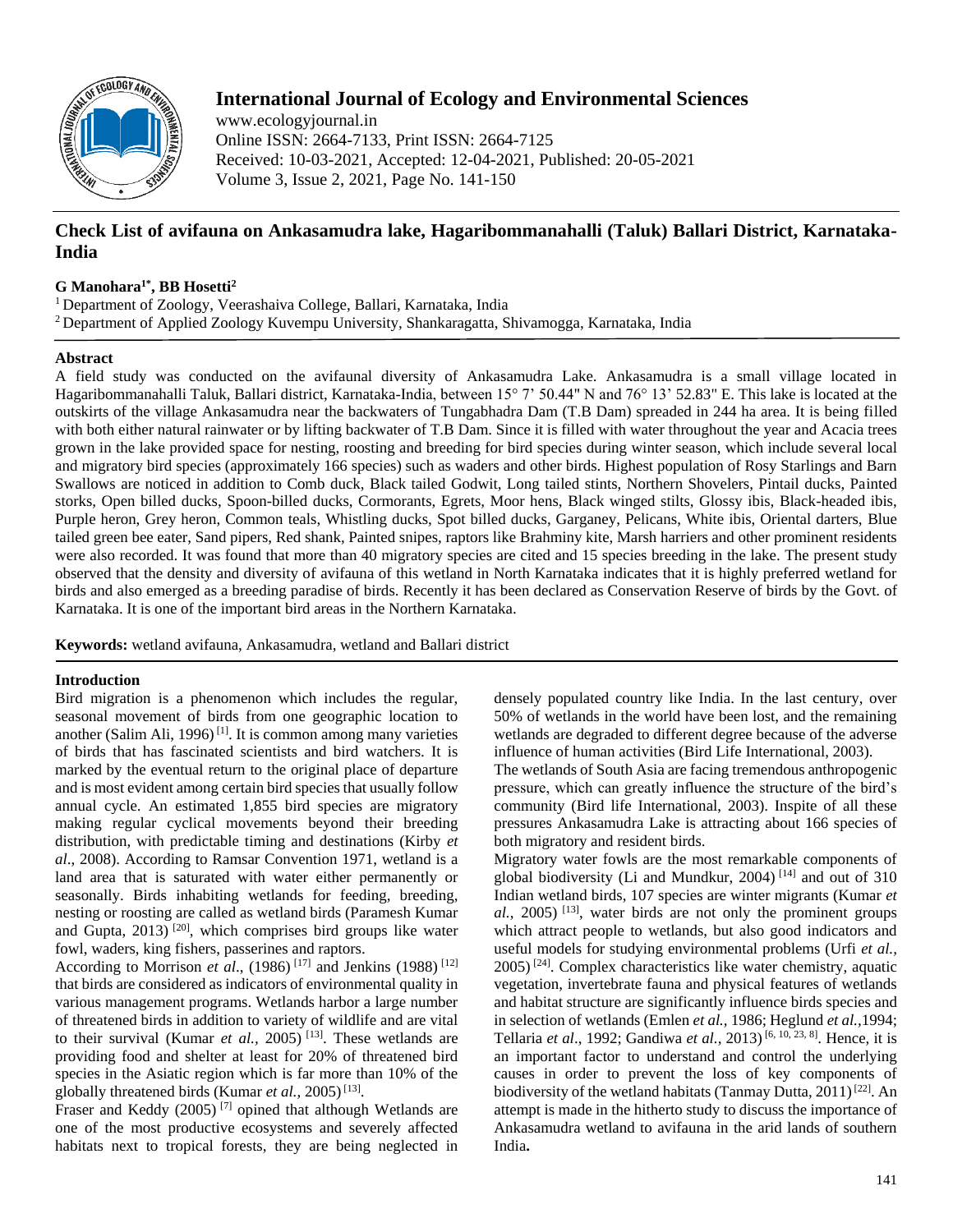

# **International Journal of Ecology and Environmental Sciences**

www.ecologyjournal.in Online ISSN: 2664-7133, Print ISSN: 2664-7125 Received: 10-03-2021, Accepted: 12-04-2021, Published: 20-05-2021 Volume 3, Issue 2, 2021, Page No. 141-150

# **Check List of avifauna on Ankasamudra lake, Hagaribommanahalli (Taluk) Ballari District, Karnataka-India**

## **G Manohara1\* , BB Hosetti<sup>2</sup>**

<sup>1</sup> Department of Zoology, Veerashaiva College, Ballari, Karnataka, India

<sup>2</sup> Department of Applied Zoology Kuvempu University, Shankaragatta, Shivamogga, Karnataka, India

## **Abstract**

A field study was conducted on the avifaunal diversity of Ankasamudra Lake. Ankasamudra is a small village located in Hagaribommanahalli Taluk, Ballari district, Karnataka-India, between 15° 7' 50.44" N and 76° 13' 52.83" E. This lake is located at the outskirts of the village Ankasamudra near the backwaters of Tungabhadra Dam (T.B Dam) spreaded in 244 ha area. It is being filled with both either natural rainwater or by lifting backwater of T.B Dam. Since it is filled with water throughout the year and Acacia trees grown in the lake provided space for nesting, roosting and breeding for bird species during winter season, which include several local and migratory bird species (approximately 166 species) such as waders and other birds. Highest population of Rosy Starlings and Barn Swallows are noticed in addition to Comb duck, Black tailed Godwit, Long tailed stints, Northern Shovelers, Pintail ducks, Painted storks, Open billed ducks, Spoon-billed ducks, Cormorants, Egrets, Moor hens, Black winged stilts, Glossy ibis, Black-headed ibis, Purple heron, Grey heron, Common teals, Whistling ducks, Spot billed ducks, Garganey, Pelicans, White ibis, Oriental darters, Blue tailed green bee eater, Sand pipers, Red shank, Painted snipes, raptors like Brahminy kite, Marsh harriers and other prominent residents were also recorded. It was found that more than 40 migratory species are cited and 15 species breeding in the lake. The present study observed that the density and diversity of avifauna of this wetland in North Karnataka indicates that it is highly preferred wetland for birds and also emerged as a breeding paradise of birds. Recently it has been declared as Conservation Reserve of birds by the Govt. of Karnataka. It is one of the important bird areas in the Northern Karnataka.

**Keywords:** wetland avifauna, Ankasamudra, wetland and Ballari district

## **Introduction**

Bird migration is a phenomenon which includes the regular, seasonal movement of birds from one geographic location to another (Salim Ali, 1996)<sup>[1]</sup>. It is common among many varieties of birds that has fascinated scientists and bird watchers. It is marked by the eventual return to the original place of departure and is most evident among certain bird species that usually follow annual cycle. An estimated 1,855 bird species are migratory making regular cyclical movements beyond their breeding distribution, with predictable timing and destinations (Kirby *et al*., 2008). According to Ramsar Convention 1971, wetland is a land area that is saturated with water either permanently or seasonally. Birds inhabiting wetlands for feeding, breeding, nesting or roosting are called as wetland birds (Paramesh Kumar and Gupta,  $2013$ )<sup>[20]</sup>, which comprises bird groups like water fowl, waders, king fishers, passerines and raptors.

According to Morrison *et al.*, (1986)<sup>[17]</sup> and Jenkins (1988)<sup>[12]</sup> that birds are considered as indicators of environmental quality in various management programs. Wetlands harbor a large number of threatened birds in addition to variety of wildlife and are vital to their survival (Kumar *et al.,* 2005) [13] . These wetlands are providing food and shelter at least for 20% of threatened bird species in the Asiatic region which is far more than 10% of the globally threatened birds (Kumar *et al.*, 2005)<sup>[13]</sup>.

Fraser and Keddy (2005)<sup>[7]</sup> opined that although Wetlands are one of the most productive ecosystems and severely affected habitats next to tropical forests, they are being neglected in densely populated country like India. In the last century, over 50% of wetlands in the world have been lost, and the remaining wetlands are degraded to different degree because of the adverse influence of human activities (Bird Life International, 2003).

The wetlands of South Asia are facing tremendous anthropogenic pressure, which can greatly influence the structure of the bird's community (Bird life International, 2003). Inspite of all these pressures Ankasamudra Lake is attracting about 166 species of both migratory and resident birds.

Migratory water fowls are the most remarkable components of global biodiversity (Li and Mundkur, 2004)<sup>[14]</sup> and out of  $310$ Indian wetland birds, 107 species are winter migrants (Kumar *et al.*, 2005) [13] , water birds are not only the prominent groups which attract people to wetlands, but also good indicators and useful models for studying environmental problems (Urfi *et al.,* 2005) [24] . Complex characteristics like water chemistry, aquatic vegetation, invertebrate fauna and physical features of wetlands and habitat structure are significantly influence birds species and in selection of wetlands (Emlen *et al.,* 1986; Heglund *et al.,*1994; Tellaria *et al*., 1992; Gandiwa *et al.,* 2013) [6, 10, 23, 8] . Hence, it is an important factor to understand and control the underlying causes in order to prevent the loss of key components of biodiversity of the wetland habitats (Tanmay Dutta,  $2011$ )<sup>[22]</sup>. An attempt is made in the hitherto study to discuss the importance of Ankasamudra wetland to avifauna in the arid lands of southern India**.**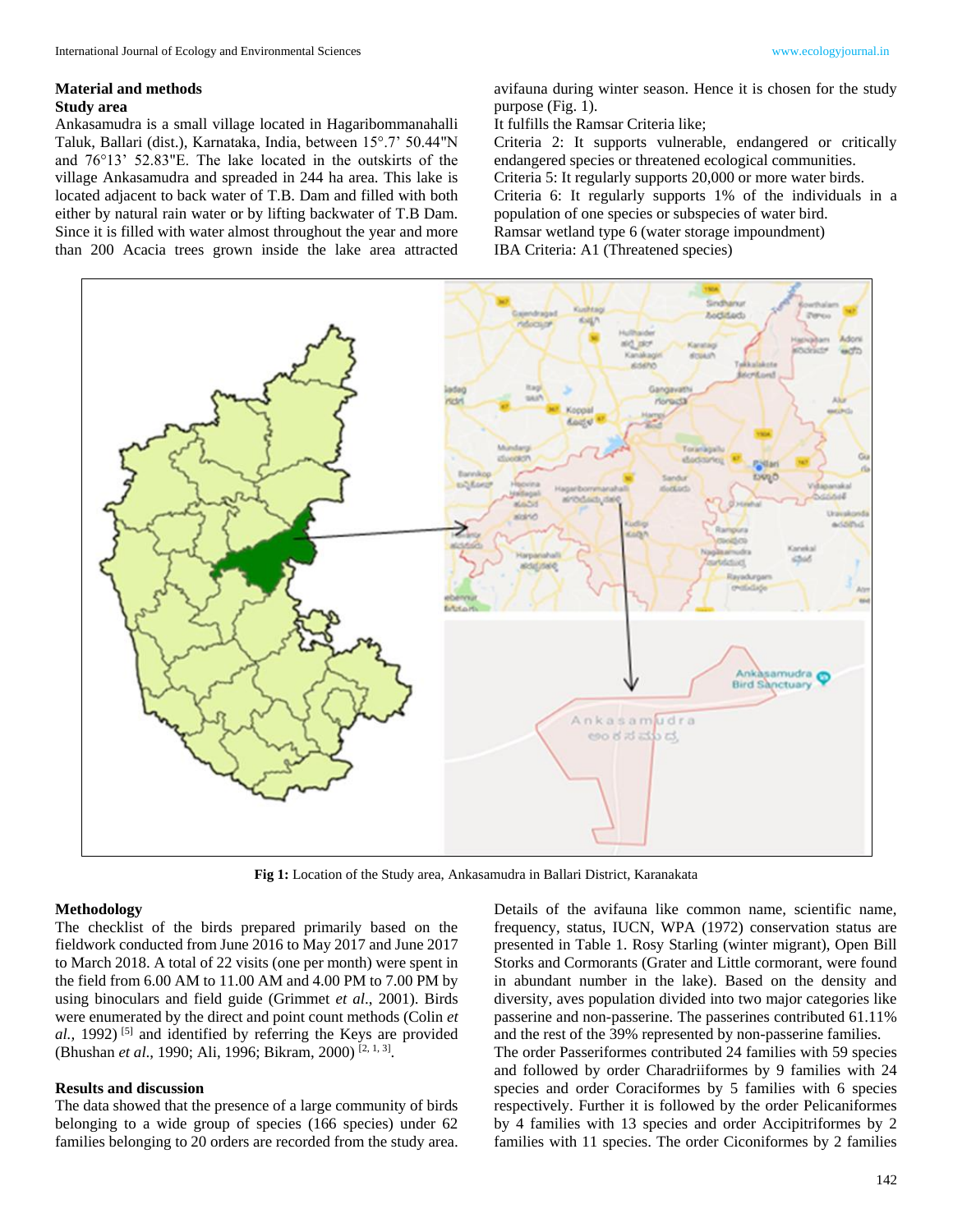#### **Material and methods Study area**

Ankasamudra is a small village located in Hagaribommanahalli Taluk, Ballari (dist.), Karnataka, India, between 15°.7' 50.44"N and 76°13' 52.83"E. The lake located in the outskirts of the village Ankasamudra and spreaded in 244 ha area. This lake is located adjacent to back water of T.B. Dam and filled with both either by natural rain water or by lifting backwater of T.B Dam. Since it is filled with water almost throughout the year and more than 200 Acacia trees grown inside the lake area attracted avifauna during winter season. Hence it is chosen for the study purpose (Fig. 1).

It fulfills the Ramsar Criteria like;

Criteria 2: It supports vulnerable, endangered or critically endangered species or threatened ecological communities. Criteria 5: It regularly supports 20,000 or more water birds. Criteria 6: It regularly supports 1% of the individuals in a population of one species or subspecies of water bird. Ramsar wetland type 6 (water storage impoundment) IBA Criteria: A1 (Threatened species)



**Fig 1:** Location of the Study area, Ankasamudra in Ballari District, Karanakata

#### **Methodology**

The checklist of the birds prepared primarily based on the fieldwork conducted from June 2016 to May 2017 and June 2017 to March 2018. A total of 22 visits (one per month) were spent in the field from 6.00 AM to 11.00 AM and 4.00 PM to 7.00 PM by using binoculars and field guide (Grimmet *et al*., 2001). Birds were enumerated by the direct and point count methods (Colin *et*  al., 1992)<sup>[5]</sup> and identified by referring the Keys are provided (Bhushan *et al*., 1990; Ali, 1996; Bikram, 2000) [2, 1, 3] .

#### **Results and discussion**

The data showed that the presence of a large community of birds belonging to a wide group of species (166 species) under 62 families belonging to 20 orders are recorded from the study area. Details of the avifauna like common name, scientific name, frequency, status, IUCN, WPA (1972) conservation status are presented in Table 1. Rosy Starling (winter migrant), Open Bill Storks and Cormorants (Grater and Little cormorant, were found in abundant number in the lake). Based on the density and diversity, aves population divided into two major categories like passerine and non-passerine. The passerines contributed 61.11% and the rest of the 39% represented by non-passerine families.

The order Passeriformes contributed 24 families with 59 species and followed by order Charadriiformes by 9 families with 24 species and order Coraciformes by 5 families with 6 species respectively. Further it is followed by the order Pelicaniformes by 4 families with 13 species and order Accipitriformes by 2 families with 11 species. The order Ciconiformes by 2 families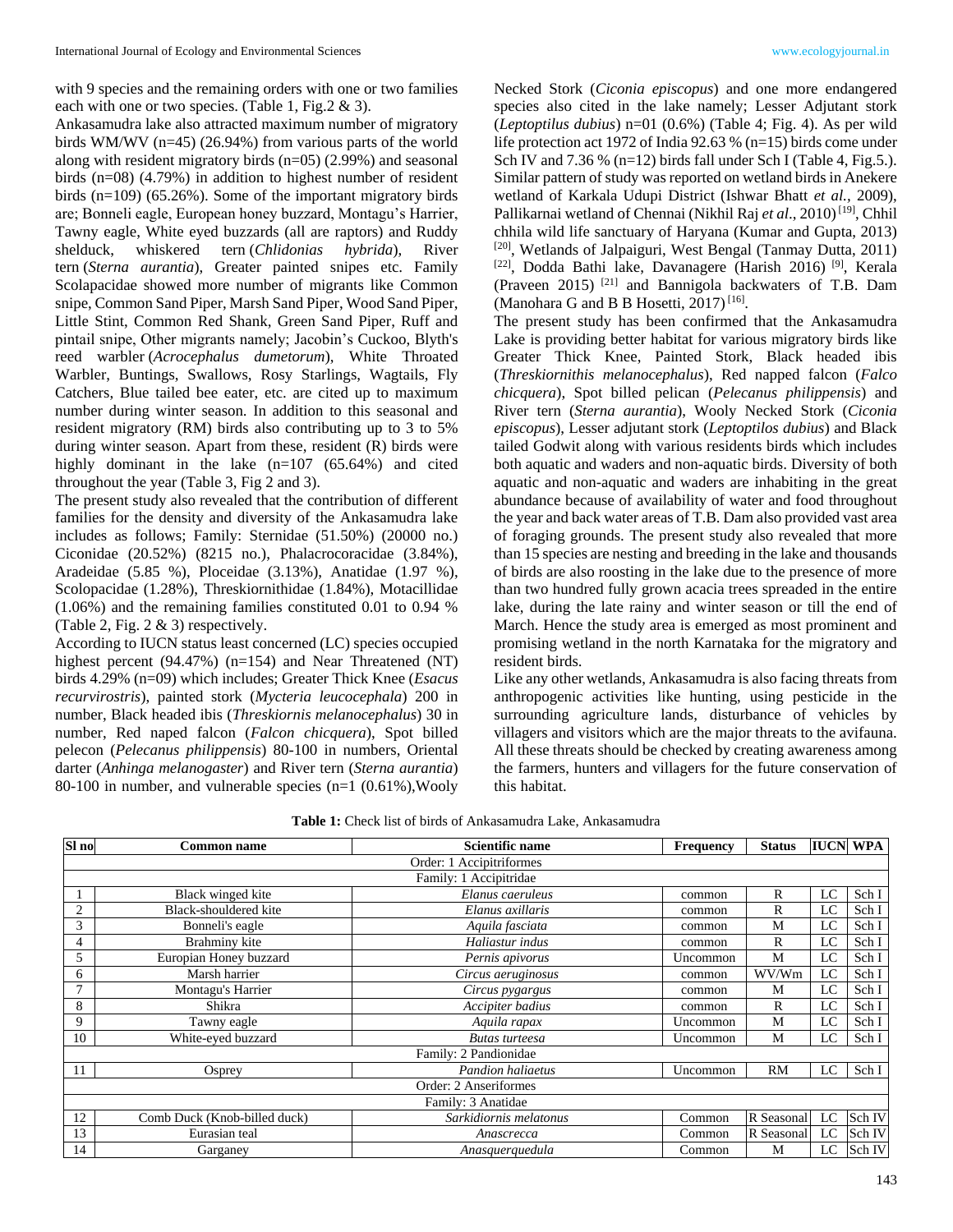with 9 species and the remaining orders with one or two families each with one or two species. (Table 1, Fig.2 & 3).

Ankasamudra lake also attracted maximum number of migratory birds WM/WV (n=45) (26.94%) from various parts of the world along with resident migratory birds (n=05) (2.99%) and seasonal birds (n=08) (4.79%) in addition to highest number of resident birds (n=109) (65.26%). Some of the important migratory birds are; Bonneli eagle, European honey buzzard, Montagu's Harrier, Tawny eagle, White eyed buzzards (all are raptors) and Ruddy shelduck, whiskered tern (*Chlidonias hybrida*), River tern (*Sterna aurantia*), Greater painted snipes etc. Family Scolapacidae showed more number of migrants like Common snipe, Common Sand Piper, Marsh Sand Piper, Wood Sand Piper, Little Stint, Common Red Shank, Green Sand Piper, Ruff and pintail snipe, Other migrants namely; Jacobin's Cuckoo, Blyth's reed warbler (*Acrocephalus dumetorum*), White Throated Warbler, Buntings, Swallows, Rosy Starlings, Wagtails, Fly Catchers, Blue tailed bee eater, etc. are cited up to maximum number during winter season. In addition to this seasonal and resident migratory (RM) birds also contributing up to 3 to 5% during winter season. Apart from these, resident (R) birds were highly dominant in the lake  $(n=107)(65.64%)$  and cited throughout the year (Table 3, Fig 2 and 3).

The present study also revealed that the contribution of different families for the density and diversity of the Ankasamudra lake includes as follows; Family: Sternidae (51.50%) (20000 no.) Ciconidae (20.52%) (8215 no.), Phalacrocoracidae (3.84%), Aradeidae (5.85 %), Ploceidae (3.13%), Anatidae (1.97 %), Scolopacidae (1.28%), Threskiornithidae (1.84%), Motacillidae (1.06%) and the remaining families constituted 0.01 to 0.94 % (Table 2, Fig. 2 & 3) respectively.

According to IUCN status least concerned (LC) species occupied highest percent (94.47%) (n=154) and Near Threatened (NT) birds 4.29% (n=09) which includes; Greater Thick Knee (*Esacus recurvirostris*), painted stork (*Mycteria leucocephala*) 200 in number, Black headed ibis (*Threskiornis melanocephalus*) 30 in number, Red naped falcon (*Falcon chicquera*), Spot billed pelecon (*Pelecanus philippensis*) 80-100 in numbers, Oriental darter (*Anhinga melanogaster*) and River tern (*Sterna aurantia*) 80-100 in number, and vulnerable species (n=1 (0.61%),Wooly Necked Stork (*Ciconia episcopus*) and one more endangered species also cited in the lake namely; Lesser Adjutant stork (*Leptoptilus dubius*) n=01 (0.6%) (Table 4; Fig. 4). As per wild life protection act 1972 of India 92.63 % (n=15) birds come under Sch IV and 7.36 % (n=12) birds fall under Sch I (Table 4, Fig.5.). Similar pattern of study was reported on wetland birds in Anekere wetland of Karkala Udupi District (Ishwar Bhatt *et al.,* 2009), Pallikarnai wetland of Chennai (Nikhil Raj et al., 2010)<sup>[19]</sup>, Chhil chhila wild life sanctuary of Haryana (Kumar and Gupta, 2013) <sup>[20]</sup>, Wetlands of Jalpaiguri, West Bengal (Tanmay Dutta, 2011) <sup>[22]</sup>, Dodda Bathi lake, Davanagere (Harish 2016)<sup>[9]</sup>, Kerala (Praveen 2015)<sup>[21]</sup> and Bannigola backwaters of T.B. Dam (Manohara G and B B Hosetti,  $2017$ )<sup>[16]</sup>.

The present study has been confirmed that the Ankasamudra Lake is providing better habitat for various migratory birds like Greater Thick Knee, Painted Stork, Black headed ibis (*Threskiornithis melanocephalus*), Red napped falcon (*Falco chicquera*), Spot billed pelican (*Pelecanus philippensis*) and River tern (*Sterna aurantia*), Wooly Necked Stork (*Ciconia episcopus*), Lesser adjutant stork (*Leptoptilos dubius*) and Black tailed Godwit along with various residents birds which includes both aquatic and waders and non-aquatic birds. Diversity of both aquatic and non-aquatic and waders are inhabiting in the great abundance because of availability of water and food throughout the year and back water areas of T.B. Dam also provided vast area of foraging grounds. The present study also revealed that more than 15 species are nesting and breeding in the lake and thousands of birds are also roosting in the lake due to the presence of more than two hundred fully grown acacia trees spreaded in the entire lake, during the late rainy and winter season or till the end of March. Hence the study area is emerged as most prominent and promising wetland in the north Karnataka for the migratory and resident birds.

Like any other wetlands, Ankasamudra is also facing threats from anthropogenic activities like hunting, using pesticide in the surrounding agriculture lands, disturbance of vehicles by villagers and visitors which are the major threats to the avifauna. All these threats should be checked by creating awareness among the farmers, hunters and villagers for the future conservation of this habitat.

| Sl no | <b>Scientific name</b><br>Common name |                                            | <b>Frequency</b> | <b>Status</b> | <b>IUCN WPA</b> |        |
|-------|---------------------------------------|--------------------------------------------|------------------|---------------|-----------------|--------|
|       |                                       | Order: 1 Accipitriformes                   |                  |               |                 |        |
|       |                                       | Family: 1 Accipitridae                     |                  |               |                 |        |
|       | Black winged kite                     | Elanus caeruleus                           | common           | R             | LC              | Sch I  |
| 2     | Black-shouldered kite                 | Elanus axillaris                           | common           | R             | LC              | Sch I  |
| 3     | Bonneli's eagle                       | Aquila fasciata                            | common           | M             | LC              | Sch I  |
| 4     | Brahminy kite                         | Haliastur indus                            | common           | $\mathbb{R}$  | LC              | Sch I  |
| 5     | Europian Honey buzzard                | Pernis apivorus<br>Uncommon                |                  | M             | LC              | Sch I  |
| 6     | Marsh harrier                         | $\overline{C}$ ircus aeruginosus<br>common |                  | WV/Wm         | LC              | Sch I  |
| 7     | Montagu's Harrier                     | Circus pygargus<br>common                  |                  | M             | LC              | Sch I  |
| 8     | Shikra                                | Accipiter badius<br>common                 |                  | $\mathbb{R}$  | LC              | Sch I  |
| 9     | Tawny eagle                           | Aquila rapax<br>Uncommon                   |                  | M             | LC              | Sch I  |
| 10    | White-eyed buzzard                    | Butas turteesa<br>Uncommon                 |                  | M             | LC              | Sch I  |
|       |                                       | Family: 2 Pandionidae                      |                  |               |                 |        |
| 11    | Osprey                                | <b>Pandion haliaetus</b>                   | Uncommon         | <b>RM</b>     | LC              | Sch I  |
|       |                                       | Order: 2 Anseriformes                      |                  |               |                 |        |
|       |                                       | Family: 3 Anatidae                         |                  |               |                 |        |
| 12    | Comb Duck (Knob-billed duck)          | Sarkidiornis melatonus                     | Common           | R Seasonal    | LC              | Sch IV |
| 13    | Eurasian teal<br>Common<br>Anascrecca |                                            | R Seasonal       | LC            | Sch IV          |        |
| 14    | Garganey                              | Anasquerquedula                            | Common           | M             | LC              | Sch IV |

|  |  |  | <b>Table 1:</b> Check list of birds of Ankasamudra Lake, Ankasamudra |
|--|--|--|----------------------------------------------------------------------|
|--|--|--|----------------------------------------------------------------------|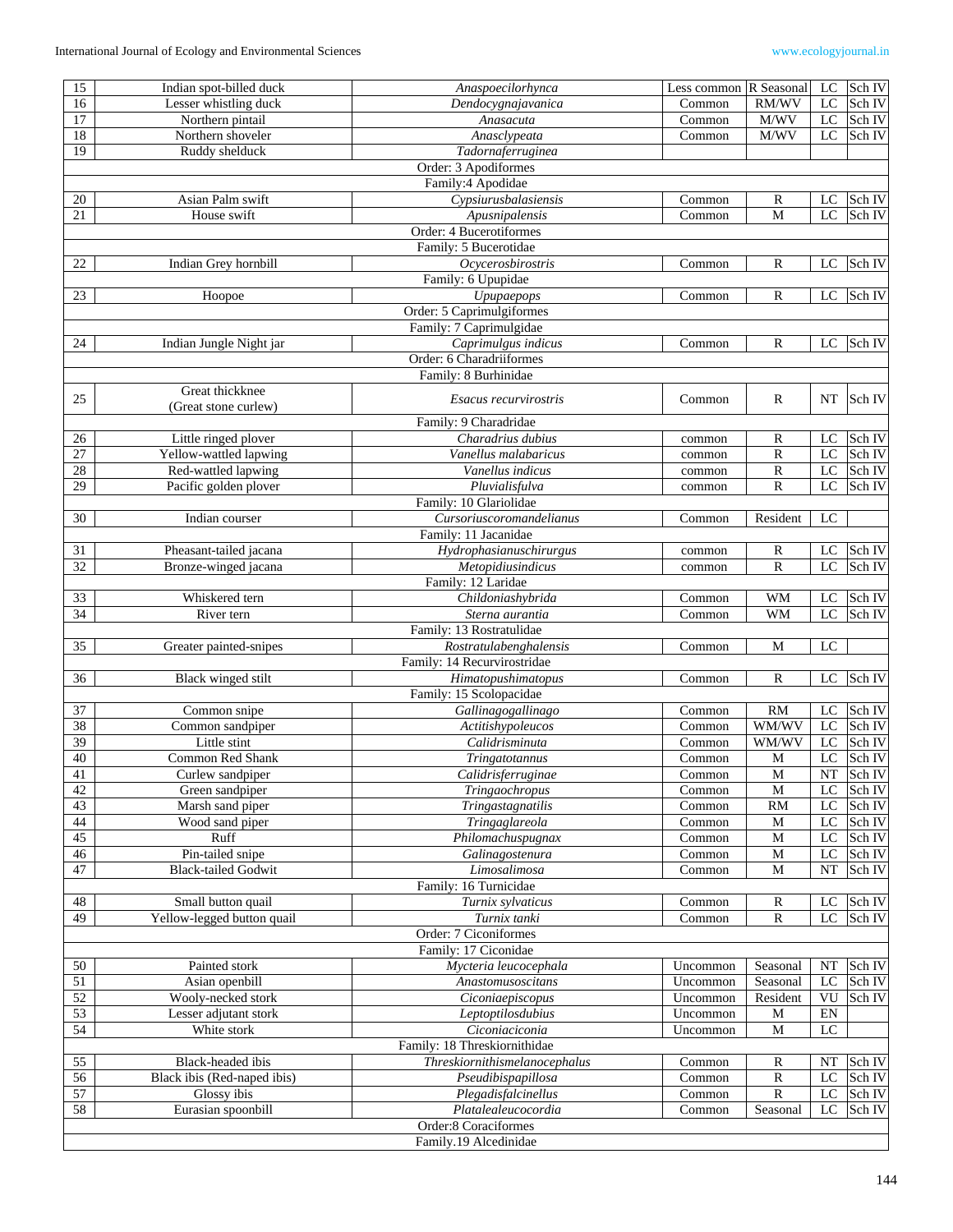| 15                    | Indian spot-billed duck<br>Anaspoecilorhynca<br>Less common R Seasonal<br>LC |                                                     |                     |                              |             | Sch IV            |  |  |  |
|-----------------------|------------------------------------------------------------------------------|-----------------------------------------------------|---------------------|------------------------------|-------------|-------------------|--|--|--|
| 16                    | Lesser whistling duck<br>Dendocygnajavanica                                  |                                                     | Common              | RM/WV                        | LC          | Sch IV            |  |  |  |
| 17                    | Northern pintail                                                             | Anasacuta                                           | Common              | M/WV                         | LC          | Sch IV            |  |  |  |
| 18                    | Northern shoveler                                                            | Anasclypeata                                        | Common              | M/WV                         | LC          | Sch IV            |  |  |  |
| 19                    | Ruddy shelduck                                                               | Tadornaferruginea                                   |                     |                              |             |                   |  |  |  |
|                       |                                                                              | Order: 3 Apodiformes                                |                     |                              |             |                   |  |  |  |
|                       |                                                                              | Family:4 Apodidae                                   |                     |                              |             |                   |  |  |  |
| 20<br>21              | Asian Palm swift<br>House swift                                              | Cypsiurusbalasiensis<br>Apusnipalensis              | Common<br>Common    | R<br>M                       | LC<br>LC    | Sch IV<br>Sch IV  |  |  |  |
|                       |                                                                              | Order: 4 Bucerotiformes                             |                     |                              |             |                   |  |  |  |
|                       |                                                                              | Family: 5 Bucerotidae                               |                     |                              |             |                   |  |  |  |
| 22                    | Indian Grey hornbill                                                         | Ocycerosbirostris                                   | Common              | R                            | LC          | Sch IV            |  |  |  |
|                       |                                                                              | Family: 6 Upupidae                                  |                     |                              |             |                   |  |  |  |
| 23                    | Hoopoe                                                                       | Upupaepops                                          | Common              | $\mathbb{R}$                 | LC          | Sch IV            |  |  |  |
|                       |                                                                              | Order: 5 Caprimulgiformes                           |                     |                              |             |                   |  |  |  |
|                       |                                                                              | Family: 7 Caprimulgidae                             |                     |                              |             |                   |  |  |  |
| 24                    | Indian Jungle Night jar                                                      | Caprimulgus indicus                                 | Common              | $\mathbb{R}$                 | LC          | Sch IV            |  |  |  |
|                       |                                                                              | Order: 6 Charadriiformes                            |                     |                              |             |                   |  |  |  |
|                       | Great thickknee                                                              | Family: 8 Burhinidae                                |                     |                              |             |                   |  |  |  |
| 25                    | (Great stone curlew)                                                         | Esacus recurvirostris                               | Common              | $\mathbb{R}$                 | <b>NT</b>   | Sch IV            |  |  |  |
|                       |                                                                              | Family: 9 Charadridae                               |                     |                              |             |                   |  |  |  |
| 26                    | Little ringed plover                                                         | Charadrius dubius                                   | common              | $\mathbb{R}$                 | LC          | Sch IV            |  |  |  |
| 27                    | Yellow-wattled lapwing                                                       | Vanellus malabaricus                                | common              | $\mathbb{R}$                 | LC          | Sch IV            |  |  |  |
| 28                    | Red-wattled lapwing                                                          | Vanellus indicus                                    | common              | $\mathbb{R}$                 | $_{\rm LC}$ | Sch IV            |  |  |  |
| 29                    | Pacific golden plover                                                        | Pluvialisfulva                                      | common              | $\mathbb{R}$                 | LC          | Sch IV            |  |  |  |
|                       |                                                                              | Family: 10 Glariolidae                              |                     |                              |             |                   |  |  |  |
| 30                    | Indian courser                                                               | Cursoriuscoromandelianus                            | Common              | Resident                     | LC          |                   |  |  |  |
| 31                    | Pheasant-tailed jacana                                                       | Family: 11 Jacanidae<br>Hydrophasianuschirurgus     |                     | $\mathbb{R}$                 | LC          | Sch IV            |  |  |  |
| 32                    | Bronze-winged jacana                                                         | Metopidiusindicus                                   | common<br>common    | $\mathbb{R}$                 | LC          | Sch IV            |  |  |  |
|                       |                                                                              | Family: 12 Laridae                                  |                     |                              |             |                   |  |  |  |
| 33                    | Whiskered tern                                                               | Childoniashybrida                                   | Common              | WМ                           | LC          | Sch IV            |  |  |  |
| 34                    | River tern                                                                   | Sterna aurantia                                     | Common              | WM                           | LC          | Sch IV            |  |  |  |
|                       |                                                                              | Family: 13 Rostratulidae                            |                     |                              |             |                   |  |  |  |
| 35                    | Greater painted-snipes                                                       | Rostratulabenghalensis                              | Common              | M                            | LC          |                   |  |  |  |
|                       |                                                                              | Family: 14 Recurvirostridae                         |                     |                              |             |                   |  |  |  |
| 36                    | Black winged stilt                                                           | Himatopushimatopus                                  | Common              | $\mathbb{R}$                 | LC          | Sch IV            |  |  |  |
|                       |                                                                              | Family: 15 Scolopacidae                             |                     |                              |             |                   |  |  |  |
| 37<br>38              | Common snipe<br>Common sandpiper                                             | Gallinagogallinago<br>Actitishypoleucos             | Common<br>Common    | RM<br>WM/WV                  | LC<br>LC    | Sch IV<br>Sch IV  |  |  |  |
| 39                    | Little stint                                                                 | Calidrisminuta                                      | Common              | WM/WV                        | LC          | Sch IV            |  |  |  |
| 40                    | Common Red Shank                                                             | Tringatotannus                                      | Common              | $\mathbf M$                  | $_{\rm LC}$ | Sch IV            |  |  |  |
| 41                    | Curlew sandpiper                                                             | Calidrisferruginae                                  | $\overline{Common}$ | $\overline{M}$               | NT          | Sch <sub>IV</sub> |  |  |  |
| 42                    | Green sandpiper                                                              | Tringaochropus                                      | Common              | $\mathbf M$                  | LC          | Sch IV            |  |  |  |
| 43                    | Marsh sand piper                                                             | Tringastagnatilis                                   | Common              | <b>RM</b>                    | LC          | Sch IV            |  |  |  |
| 44                    | Wood sand piper                                                              | Tringaglareola                                      | Common              | M                            | LC          | Sch IV            |  |  |  |
| 45                    | Ruff                                                                         | Philomachuspugnax                                   | Common              | M                            | $\rm LC$    | Sch IV            |  |  |  |
| 46                    | Pin-tailed snipe                                                             | Galinagostenura                                     | Common              | M                            | LC          | Sch IV            |  |  |  |
| 47                    | <b>Black-tailed Godwit</b>                                                   | Limosalimosa                                        | Common              | M                            | NT          | Sch IV            |  |  |  |
| 48                    | Small button quail                                                           | Family: 16 Turnicidae<br>Turnix sylvaticus          | Common              | $\mathbb{R}$                 | LC          | Sch IV            |  |  |  |
| 49                    | Yellow-legged button quail                                                   | Turnix tanki                                        | Common              | $\mathbb{R}$                 | LC          | Sch IV            |  |  |  |
|                       |                                                                              | Order: 7 Ciconiformes                               |                     |                              |             |                   |  |  |  |
|                       |                                                                              | Family: 17 Ciconidae                                |                     |                              |             |                   |  |  |  |
| 50                    | Painted stork                                                                | Mycteria leucocephala                               | Uncommon            | Seasonal                     | NT          | Sch IV            |  |  |  |
| 51                    | Asian openbill                                                               | Anastomusoscitans                                   | Uncommon            | Seasonal                     | LC          | Sch IV            |  |  |  |
| $\overline{52}$       | Wooly-necked stork                                                           | Ciconiaepiscopus                                    | Uncommon            | Resident                     | VU          | Sch IV            |  |  |  |
| $\overline{53}$       | Lesser adjutant stork                                                        | Leptoptilosdubius                                   | Uncommon            | M                            | EN          |                   |  |  |  |
| 54                    | White stork                                                                  | Ciconiaciconia                                      | Uncommon            | M                            | LC          |                   |  |  |  |
|                       |                                                                              | Family: 18 Threskiornithidae                        |                     |                              |             |                   |  |  |  |
| 55<br>$\overline{56}$ | Black-headed ibis<br>Black ibis (Red-naped ibis)                             | Threskiornithismelanocephalus<br>Pseudibispapillosa | Common<br>Common    | $\mathbb{R}$<br>$\mathbb{R}$ | NT<br>LC    | Sch IV<br>Sch IV  |  |  |  |
| $\overline{57}$       | Glossy ibis                                                                  | Plegadisfalcinellus                                 | Common              | $\mathbb{R}$                 | $\rm LC$    | Sch IV            |  |  |  |
| 58                    | Eurasian spoonbill                                                           | Platalealeucocordia                                 | Common              | Seasonal                     | LC          | Sch IV            |  |  |  |
|                       |                                                                              | Order:8 Coraciformes                                |                     |                              |             |                   |  |  |  |
|                       | Family.19 Alcedinidae                                                        |                                                     |                     |                              |             |                   |  |  |  |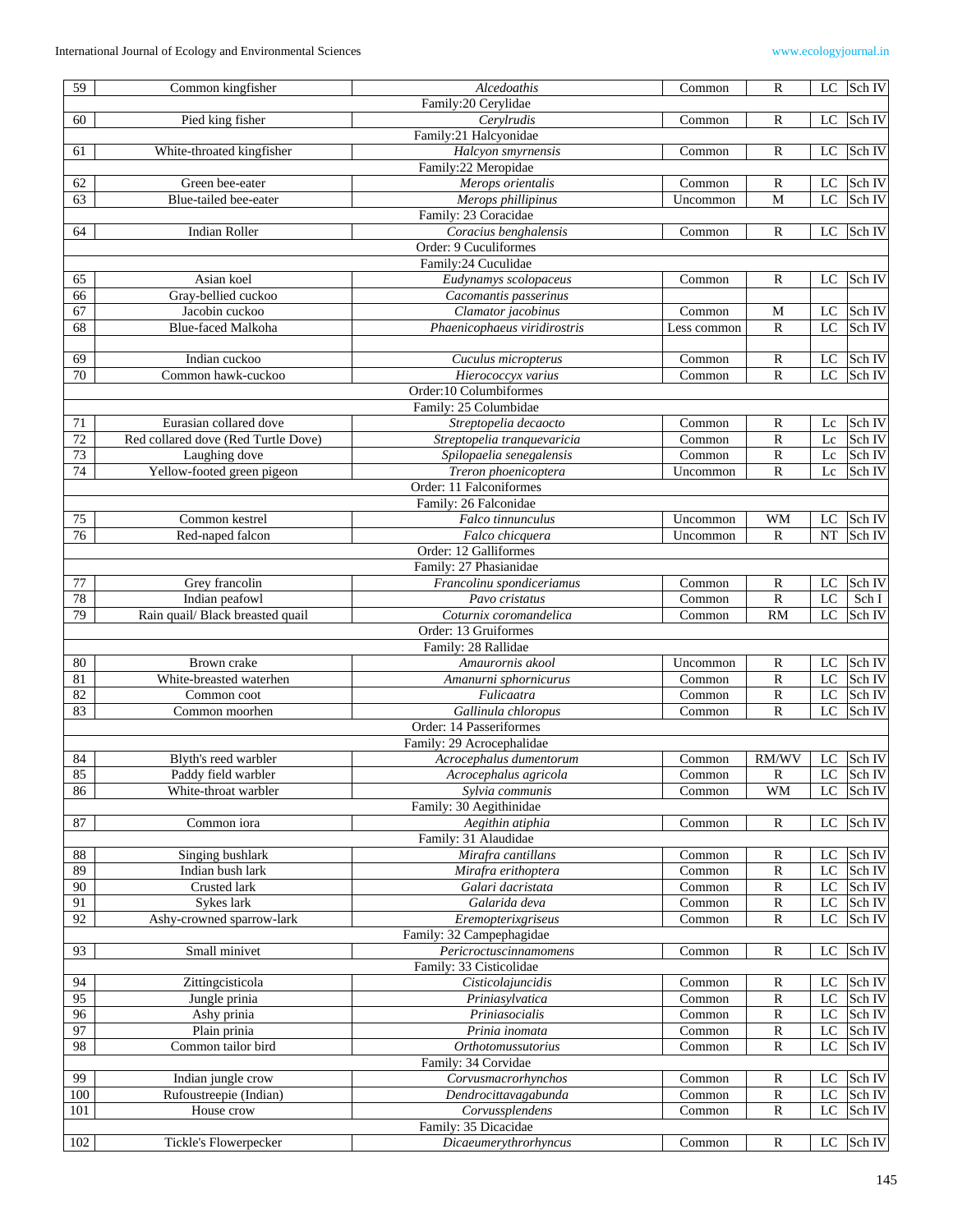| 59              | Common kingfisher                     | Alcedoathis                                  | Common              | $\mathbb{R}$                 | Sch IV<br>$_{\rm LC}$           |  |
|-----------------|---------------------------------------|----------------------------------------------|---------------------|------------------------------|---------------------------------|--|
|                 | Family:20 Cerylidae<br>Cervlrudis     |                                              |                     |                              |                                 |  |
| 60              | Pied king fisher                      | Common                                       | $\mathbb{R}$        | Sch IV<br>LC                 |                                 |  |
|                 |                                       | Family:21 Halcyonidae                        |                     |                              |                                 |  |
| 61              | White-throated kingfisher             | Halcyon smyrnensis                           | Common              | R                            | Sch IV<br>LC                    |  |
|                 |                                       | Family:22 Meropidae                          |                     |                              |                                 |  |
| 62              | Green bee-eater                       | Merops orientalis                            | Common              | $\mathbb{R}$                 | Sch IV<br>LC                    |  |
| 63              | Blue-tailed bee-eater                 | Merops phillipinus                           | Uncommon            | M                            | LC<br>Sch IV                    |  |
|                 |                                       | Family: 23 Coracidae                         |                     |                              |                                 |  |
| 64              | <b>Indian Roller</b>                  | Coracius benghalensis                        | Common              | $\mathbb{R}$                 | Sch IV<br>LC                    |  |
|                 |                                       | Order: 9 Cuculiformes                        |                     |                              |                                 |  |
|                 |                                       | Family:24 Cuculidae                          |                     |                              |                                 |  |
| 65              | Asian koel                            | Eudynamys scolopaceus                        | Common              | R                            | Sch IV<br>LC                    |  |
| 66<br>67        | Gray-bellied cuckoo<br>Jacobin cuckoo | Cacomantis passerinus                        |                     |                              |                                 |  |
| 68              | <b>Blue-faced Malkoha</b>             | Clamator jacobinus                           | Common              | M<br>$\mathbb{R}$            | LC<br>Sch IV<br>LC<br>Sch IV    |  |
|                 |                                       | Phaenicophaeus viridirostris                 | Less common         |                              |                                 |  |
| 69              |                                       |                                              |                     |                              |                                 |  |
| 70              | Indian cuckoo<br>Common hawk-cuckoo   | Cuculus micropterus<br>Hierococcyx varius    | Common<br>Common    | $\mathbb{R}$<br>$\mathbb{R}$ | LC<br>Sch IV<br>LC<br>Sch IV    |  |
|                 | Order:10 Columbiformes                |                                              |                     |                              |                                 |  |
|                 |                                       | Family: 25 Columbidae                        |                     |                              |                                 |  |
| 71              | Eurasian collared dove                | Streptopelia decaocto                        | Common              | R                            | Sch IV<br>Lc                    |  |
| 72              | Red collared dove (Red Turtle Dove)   | Streptopelia tranquevaricia                  | Common              | $\mathbb{R}$                 | Lc<br>Sch IV                    |  |
| $\overline{73}$ | Laughing dove                         | Spilopaelia senegalensis                     | Common              | $\overline{R}$               | Sch IV<br>Lc                    |  |
| 74              | Yellow-footed green pigeon            | Treron phoenicoptera                         | Uncommon            | $\mathbb{R}$                 | Lc<br>Sch IV                    |  |
|                 |                                       | Order: 11 Falconiformes                      |                     |                              |                                 |  |
|                 |                                       | Family: 26 Falconidae                        |                     |                              |                                 |  |
| 75              | Common kestrel                        | Falco tinnunculus                            | Uncommon            | <b>WM</b>                    | Sch IV<br>LC                    |  |
| 76              | Red-naped falcon                      | Falco chicquera                              | Uncommon            | $\mathbb{R}$                 | NT<br>Sch IV                    |  |
|                 |                                       | Order: 12 Galliformes                        |                     |                              |                                 |  |
|                 |                                       | Family: 27 Phasianidae                       |                     |                              |                                 |  |
| $77\,$          | Grey francolin                        | Francolinu spondiceriamus                    | Common              | $\mathbb{R}$                 | Sch IV<br>LC                    |  |
| 78              | Indian peafowl                        | Pavo cristatus                               | Common              | $\overline{R}$               | LC<br>$\overline{\text{Sch}}$ I |  |
| 79              | Rain quail/ Black breasted quail      | Coturnix coromandelica                       | Common              | <b>RM</b>                    | LC<br>Sch IV                    |  |
|                 |                                       | Order: 13 Gruiformes                         |                     |                              |                                 |  |
|                 |                                       | Family: 28 Rallidae                          |                     |                              |                                 |  |
| 80              | Brown crake                           | Amaurornis akool                             | Uncommon            | $\mathbb{R}$                 | Sch IV<br>LC                    |  |
| 81              | White-breasted waterhen               | Amanurni sphornicurus                        | Common              | $\overline{R}$               | LC<br>Sch IV                    |  |
| 82              | Common coot                           | Fulicaatra                                   | Common              | $\mathbb{R}$                 | LC<br>Sch IV                    |  |
| 83              | Common moorhen                        | Gallinula chloropus                          | Common              | $\mathbb{R}$                 | LC<br>Sch IV                    |  |
|                 |                                       | Order: 14 Passeriformes                      |                     |                              |                                 |  |
|                 |                                       | Family: 29 Acrocephalidae                    |                     |                              |                                 |  |
| 84              | Blyth's reed warbler                  | Acrocephalus dumentorum                      | Common              | RM/WV                        | LC<br>Sch IV                    |  |
| 85              | Paddy field warbler                   | Acrocephalus agricola                        | $\overline{Common}$ | $\overline{R}$               | Sch IV<br>LC                    |  |
| 86              | White-throat warbler                  | Sylvia communis                              | Common              | WM                           | Sch IV<br>LC                    |  |
|                 |                                       | Family: 30 Aegithinidae                      |                     |                              |                                 |  |
| 87              | Common iora                           | Aegithin atiphia                             | Common              | $\mathbb{R}$                 | LC<br>Sch IV                    |  |
|                 |                                       | Family: 31 Alaudidae                         |                     |                              |                                 |  |
| 88              | Singing bushlark                      | Mirafra cantillans                           | Common              | $\mathbb{R}$                 | Sch IV<br>LC                    |  |
| 89              | Indian bush lark                      | Mirafra erithoptera                          | Common              | ${\bf R}$                    | LC<br>Sch IV                    |  |
| 90              | Crusted lark                          | Galari dacristata                            | Common              | $\overline{R}$               | $_{\rm LC}$<br>Sch IV           |  |
| 91              | Sykes lark                            | Galarida deva                                | Common              | $\overline{R}$               | LC<br>Sch IV                    |  |
| 92              | Ashy-crowned sparrow-lark             | Eremopterixgriseus                           | Common              | $\mathbb{R}$                 | LC<br>Sch IV                    |  |
|                 |                                       | Family: 32 Campephagidae                     |                     |                              |                                 |  |
| 93              | Small minivet                         | Pericroctuscinnamomens                       | Common              | $\mathbb{R}$                 | $_{\rm LC}$<br>Sch IV           |  |
|                 |                                       | Family: 33 Cisticolidae                      |                     |                              |                                 |  |
| 94              | Zittingcisticola                      | Cisticolajuncidis                            | Common              | $\mathbb{R}$                 | Sch IV<br>LC                    |  |
| 95              | Jungle prinia                         | Priniasylvatica                              | Common              | $\overline{R}$               | <b>LC</b><br>Sch IV             |  |
| 96              | Ashy prinia                           | Priniasocialis<br>$\overline{\text{Common}}$ |                     | $\overline{R}$               | LC<br>Sch IV                    |  |
| 97              | Plain prinia                          | $\mathbb{R}$<br>Prinia inomata<br>Common     |                     |                              | $\rm LC$<br>Sch IV              |  |
| 98              | Common tailor bird                    | Orthotomussutorius<br>Common                 |                     | $\mathbb{R}$                 | LC<br>Sch IV                    |  |
|                 |                                       | Family: 34 Corvidae                          |                     |                              |                                 |  |
| 99              | Indian jungle crow                    | Corvusmacrorhynchos                          | Common              | $\mathbb{R}$                 | Sch IV<br>LC                    |  |
| 100             | Rufoustreepie (Indian)                | Dendrocittavagabunda                         | Common              | $\overline{R}$               | LC<br>Sch IV                    |  |
| 101             | House crow                            | Corvussplendens                              | Common              | $\mathbb{R}$                 | LC<br>Sch IV                    |  |
|                 |                                       | Family: 35 Dicacidae                         |                     |                              |                                 |  |
| 102             | Tickle's Flowerpecker                 | Dicaeumerythrorhyncus                        | Common              | $\mathbb{R}$                 | Sch IV<br>LC                    |  |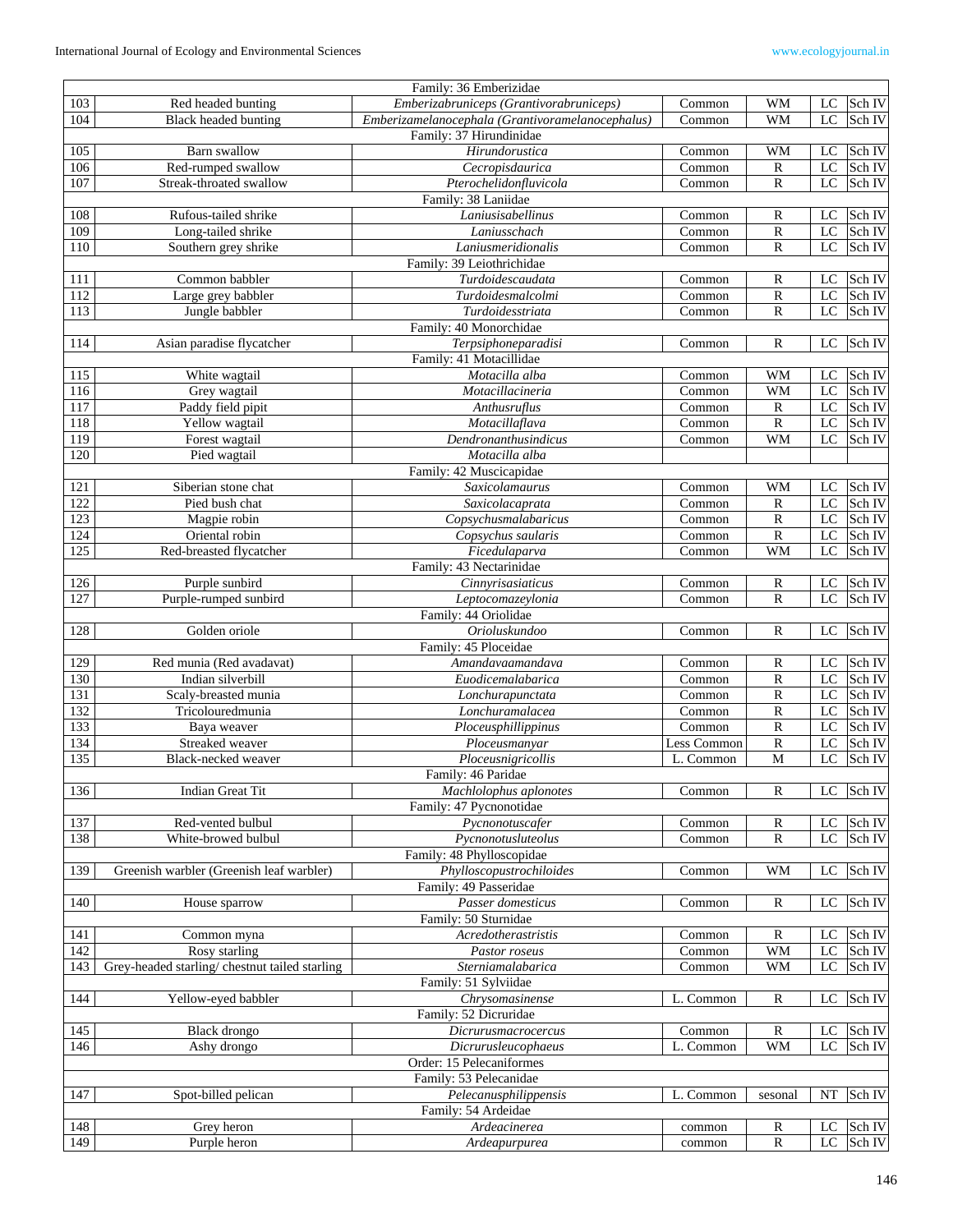|            |                                                                | Family: 36 Emberizidae                           |                            |                                |                                      |
|------------|----------------------------------------------------------------|--------------------------------------------------|----------------------------|--------------------------------|--------------------------------------|
| 103        | Red headed bunting                                             | Emberizabruniceps (Grantivorabruniceps)          | Common                     | <b>WM</b>                      | $_{\rm LC}$<br>Sch IV                |
| 104        | Black headed bunting                                           | Emberizamelanocephala (Grantivoramelanocephalus) | $\overline{\text{Common}}$ | <b>WM</b>                      | $\overline{LC}$<br>Sch IV            |
|            |                                                                | Family: 37 Hirundinidae                          |                            |                                |                                      |
| 105        | Barn swallow                                                   | Hirundorustica                                   | Common                     | <b>WM</b>                      | LC<br>Sch IV                         |
| 106        | Red-rumped swallow                                             | Cecropisdaurica                                  | Common                     | $\overline{R}$                 | $_{\rm LC}$<br>Sch IV                |
| 107        | Streak-throated swallow                                        | Pterochelidonfluvicola                           | Common                     | $\overline{R}$                 | LC<br>Sch IV                         |
|            |                                                                | Family: 38 Laniidae                              |                            |                                |                                      |
| 108        | Rufous-tailed shrike                                           | Laniusisabellinus                                | Common                     | $\mathbb{R}$                   | LC<br>Sch IV                         |
| 109<br>110 | Long-tailed shrike                                             | Laniusschach                                     | Common                     | $\overline{R}$<br>$\mathbb{R}$ | LC<br>Sch IV<br>LC                   |
|            | Southern grey shrike                                           | Laniusmeridionalis<br>Family: 39 Leiothrichidae  | Common                     |                                | Sch IV                               |
| 111        | Common babbler                                                 | Turdoidescaudata                                 | Common                     | $\mathbb{R}$                   | LC<br>Sch IV                         |
| 112        | Large grey babbler                                             | Turdoidesmalcolmi                                | Common                     | $\overline{R}$                 | LC<br>Sch IV                         |
| 113        | Jungle babbler                                                 | Turdoidesstriata                                 | Common                     | $\overline{R}$                 | LC<br>Sch IV                         |
|            |                                                                | Family: 40 Monorchidae                           |                            |                                |                                      |
| 114        | Asian paradise flycatcher                                      | Terpsiphoneparadisi                              | Common                     | R                              | LC<br>Sch IV                         |
|            |                                                                | Family: 41 Motacillidae                          |                            |                                |                                      |
| 115        | White wagtail                                                  | Motacilla alba                                   | $\overline{\text{Common}}$ | WM                             | LC<br>Sch IV                         |
| 116        | Grey wagtail                                                   | Motacillacineria                                 | Common                     | <b>WM</b>                      | $_{\rm LC}$<br>Sch IV                |
| 117        | Paddy field pipit                                              | Anthusruflus                                     | Common                     | $\mathbb{R}$                   | LC<br>Sch IV                         |
| 118        | Yellow wagtail                                                 | Motacillaflava                                   | Common                     | $\mathbb R$                    | LC<br>Sch IV                         |
| 119        | Forest wagtail                                                 | Dendronanthusindicus                             | Common                     | <b>WM</b>                      | LC<br>Sch IV                         |
| 120        | Pied wagtail                                                   | Motacilla alba                                   |                            |                                |                                      |
|            |                                                                | Family: 42 Muscicapidae                          |                            |                                |                                      |
| 121        | Siberian stone chat                                            | Saxicolamaurus                                   | Common                     | WM                             | LC<br>Sch IV                         |
| 122        | Pied bush chat                                                 | Saxicolacaprata                                  | Common                     | $\mathbb{R}$                   | $_{\rm LC}$<br>Sch IV                |
| 123        | Magpie robin                                                   | Copsychusmalabaricus                             | Common                     | $\overline{R}$                 | LC<br>Sch <sub>IV</sub>              |
| 124        | Oriental robin                                                 | Copsychus saularis                               | Common                     | $\mathbb R$                    | LC<br>Sch IV                         |
| 125        | Red-breasted flycatcher                                        | Ficedulaparva                                    | Common                     | WM                             | LC<br>Sch IV                         |
| 126        | Purple sunbird                                                 | Family: 43 Nectarinidae<br>Cinnyrisasiaticus     | Common                     | $\mathbb{R}$                   | LC<br>Sch IV                         |
| 127        | Purple-rumped sunbird                                          | Leptocomazeylonia                                | Common                     | $\mathbf R$                    | LC<br>Sch IV                         |
|            |                                                                | Family: 44 Oriolidae                             |                            |                                |                                      |
| 128        | Golden oriole                                                  | Orioluskundoo                                    | Common                     | $\mathbf R$                    | Sch IV<br>LC                         |
|            |                                                                | Family: 45 Ploceidae                             |                            |                                |                                      |
| 129        | Red munia (Red avadavat)                                       | Amandavaamandava                                 | Common                     | R                              | LC<br>Sch IV                         |
| 130        | Indian silverbill                                              | Euodicemalabarica                                | Common                     | $\mathbb{R}$                   | LC<br>Sch IV                         |
| 131        | Scaly-breasted munia                                           | Lonchurapunctata                                 | Common                     | $\overline{R}$                 | $_{\rm LC}$<br>Sch IV                |
| 132        | Tricolouredmunia                                               | Lonchuramalacea                                  | Common                     | $\mathbb{R}$                   | LC<br>Sch IV                         |
| 133        | Baya weaver                                                    | Ploceusphillippinus                              | Common                     | $\mathbb{R}$                   | LC<br>Sch IV                         |
| 134        | Streaked weaver                                                | Ploceusmanyar                                    | Less Common                | $\overline{R}$                 | LC<br>Sch IV                         |
| 135        | Black-necked weaver                                            | Ploceusnigricollis                               | L. Common                  | $\overline{M}$                 | LC<br>Sch IV                         |
|            |                                                                | Family: 46 Paridae                               |                            |                                |                                      |
| 136        | <b>Indian Great Tit</b>                                        | Machlolophus aplonotes                           | Common                     | $\mathbb{R}$                   | Sch IV<br>LC                         |
|            |                                                                | Family: 47 Pycnonotidae                          |                            |                                |                                      |
| 137        | Red-vented bulbul                                              | Pycnonotuscafer                                  | Common                     | $\mathbb{R}$                   | Sch IV<br>$_{\rm LC}$                |
| 138        | White-browed bulbul                                            | Pycnonotusluteolus                               | Common                     | $\mathbb{R}$                   | $_{\rm LC}$<br>Sch IV                |
|            |                                                                | Family: 48 Phylloscopidae                        |                            |                                |                                      |
| 139        | Greenish warbler (Greenish leaf warbler)                       | Phylloscopustrochiloides                         | Common                     | WM                             | Sch IV<br>LC                         |
|            |                                                                | Family: 49 Passeridae                            |                            |                                |                                      |
| 140        | House sparrow                                                  | Passer domesticus                                | $\overline{\text{Common}}$ | $\mathbb{R}$                   | $_{\rm LC}$<br>Sch IV                |
| 141        | Common myna                                                    | Family: 50 Sturnidae<br>Acredotherastristis      | Common                     | R                              | Sch IV<br>LC                         |
| 142        |                                                                |                                                  | Common                     |                                | $\mathop{\rm LC}\nolimits$<br>Sch IV |
| 143        | Rosy starling<br>Grey-headed starling/chestnut tailed starling | Pastor roseus<br>Sterniamalabarica               | Common                     | <b>WM</b><br><b>WM</b>         | $_{\rm LC}$<br>Sch IV                |
|            |                                                                | Family: 51 Sylviidae                             |                            |                                |                                      |
| 144        | Yellow-eyed babbler                                            | Chrysomasinense                                  | L. Common                  | $\mathbb{R}$                   | $_{\rm LC}$<br>Sch IV                |
|            |                                                                | Family: 52 Dicruridae                            |                            |                                |                                      |
| 145        | Black drongo                                                   | Dicrurusmacrocercus                              | Common                     | $\mathbb{R}$                   | $_{\rm LC}$<br>Sch IV                |
| 146        | Ashy drongo                                                    | Dicrurusleucophaeus                              | L. Common                  | <b>WM</b>                      | LC<br>Sch IV                         |
|            |                                                                | Order: 15 Pelecaniformes                         |                            |                                |                                      |
|            |                                                                | Family: 53 Pelecanidae                           |                            |                                |                                      |
| 147        | Spot-billed pelican                                            | Pelecanusphilippensis                            | L. Common                  | sesonal                        | Sch IV<br>NT                         |
|            |                                                                | Family: 54 Ardeidae                              |                            |                                |                                      |
| 148        | Grey heron                                                     | Ardeacinerea                                     | common                     | ${\bf R}$                      | Sch IV<br>$_{\rm LC}$                |
| 149        | Purple heron                                                   | Ardeapurpurea                                    | common                     | $\mathbb{R}$                   | $_{\rm LC}$<br>Sch IV                |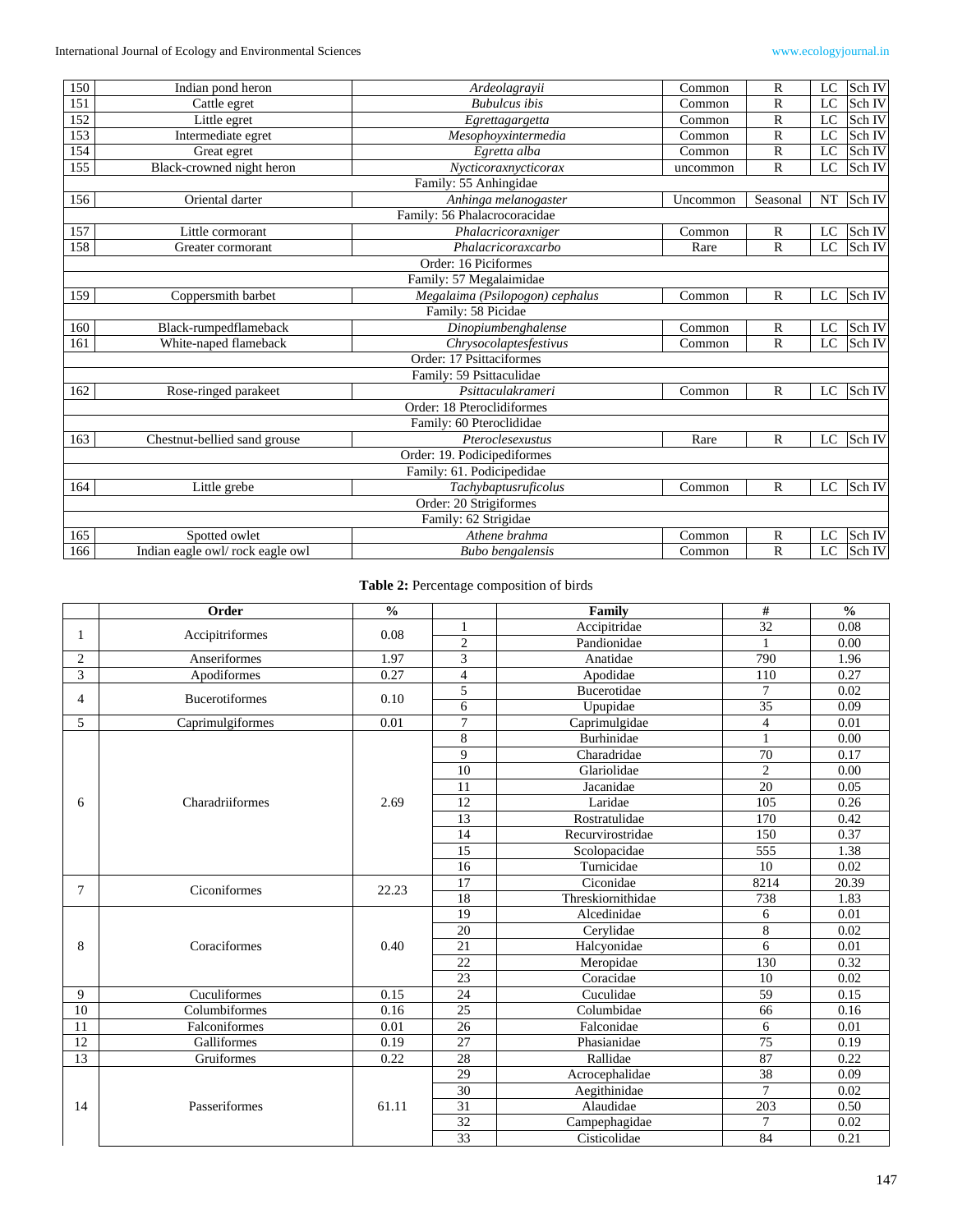| 150 | Indian pond heron                                             | Common                            | $\mathbb{R}$ | LC           | Sch IV |        |  |
|-----|---------------------------------------------------------------|-----------------------------------|--------------|--------------|--------|--------|--|
| 151 | Cattle egret                                                  | <b>Bubulcus</b> ibis              | Common       | $\mathbb{R}$ | LC     | Sch IV |  |
| 152 | Little egret                                                  | Egrettagargetta                   | Common       | $\mathbb{R}$ | LC     | Sch IV |  |
| 153 | Intermediate egret                                            | Mesophoyxintermedia               | Common       | $\mathbb{R}$ | LC     | Sch IV |  |
| 154 | Great egret                                                   | Egretta alba                      | Common       | $\mathbb{R}$ | LC     | Sch IV |  |
| 155 | Black-crowned night heron                                     | uncommon                          | $\mathbf R$  | LC           | Sch IV |        |  |
|     |                                                               | Family: 55 Anhingidae             |              |              |        |        |  |
| 156 | Oriental darter                                               | Anhinga melanogaster<br>Uncommon  |              |              |        | Sch IV |  |
|     |                                                               | Family: 56 Phalacrocoracidae      |              |              |        |        |  |
| 157 | Little cormorant                                              | Phalacricoraxniger                | Common       | $\mathbb{R}$ | LC     | Sch IV |  |
| 158 | Greater cormorant                                             | Phalacricoraxcarbo                | Rare         | $\mathbf R$  | LC     | Sch IV |  |
|     |                                                               | Order: 16 Piciformes              |              |              |        |        |  |
|     |                                                               | Family: 57 Megalaimidae           |              |              |        |        |  |
| 159 | Coppersmith barbet                                            | Common                            | R            | LC           | Sch IV |        |  |
|     |                                                               | Family: 58 Picidae                |              |              |        |        |  |
| 160 | Black-rumpedflameback                                         | $\overline{D}$ inopiumbenghalense | Common       | $\mathbb{R}$ | LC     | Sch IV |  |
| 161 | White-naped flameback                                         | Common                            | $\mathbb{R}$ | LC           | Sch IV |        |  |
|     | Order: 17 Psittaciformes                                      |                                   |              |              |        |        |  |
|     |                                                               | Family: 59 Psittaculidae          |              |              |        |        |  |
| 162 | Rose-ringed parakeet                                          | Psittaculakrameri                 | Common       | $\mathbf R$  | LC     | Sch IV |  |
|     |                                                               | Order: 18 Pteroclidiformes        |              |              |        |        |  |
|     |                                                               | Family: 60 Pteroclididae          |              |              |        |        |  |
| 163 | Chestnut-bellied sand grouse                                  | Pteroclesexustus                  | Rare         | $\mathbb{R}$ | LC     | Sch IV |  |
|     |                                                               | Order: 19. Podicipediformes       |              |              |        |        |  |
|     |                                                               | Family: 61. Podicipedidae         |              |              |        |        |  |
| 164 | Tachybaptusruficolus<br>$\mathbf R$<br>Little grebe<br>Common |                                   |              |              |        | Sch IV |  |
|     |                                                               | Order: 20 Strigiformes            |              |              |        |        |  |
|     |                                                               | Family: 62 Strigidae              |              |              |        |        |  |
| 165 | Spotted owlet                                                 | Athene brahma                     | Common       | $\mathbb{R}$ | LC     | Sch IV |  |
| 166 | Indian eagle owl/rock eagle owl                               | <b>Bubo bengalensis</b>           | Common       | $\mathbf R$  | LC     | Sch IV |  |

**Table 2:** Percentage composition of birds

|                | Order                 | $\frac{0}{0}$ |                 | Family            | #               | $\frac{0}{0}$ |
|----------------|-----------------------|---------------|-----------------|-------------------|-----------------|---------------|
|                | Accipitriformes       | 0.08          | $\mathbf{1}$    | Accipitridae      | $\overline{32}$ | 0.08          |
| 1              |                       |               | $\sqrt{2}$      | Pandionidae       | $\mathbf{1}$    | 0.00          |
| $\overline{c}$ | Anseriformes          | 1.97          | 3               | Anatidae          | 790             | 1.96          |
| 3              | Apodiformes           | 0.27          | $\overline{4}$  | Apodidae          | 110             | 0.27          |
| 4              | <b>Bucerotiformes</b> | 0.10          | $\overline{5}$  | Bucerotidae       | 7               | 0.02          |
|                |                       |               | 6               | Upupidae          | 35              | 0.09          |
| 5              | Caprimulgiformes      | 0.01          | $\overline{7}$  | Caprimulgidae     | $\overline{4}$  | 0.01          |
|                |                       |               | 8               | Burhinidae        | $\mathbf{1}$    | 0.00          |
|                |                       |               | 9               | Charadridae       | 70              | 0.17          |
|                |                       |               | 10              | Glariolidae       | $\overline{2}$  | 0.00          |
|                |                       |               | 11              | Jacanidae         | 20              | 0.05          |
| 6              | Charadriiformes       | 2.69          | 12              | Laridae           | 105             | 0.26          |
|                |                       |               | 13              | Rostratulidae     | 170             | 0.42          |
|                |                       |               | 14              | Recurvirostridae  | 150             | 0.37          |
|                |                       |               | 15              | Scolopacidae      | 555             | 1.38          |
|                |                       |               | 16              | Turnicidae        | 10              | 0.02          |
| 7              | Ciconiformes          | 22.23         | 17              | Ciconidae         | 8214            | 20.39         |
|                |                       |               | 18              | Threskiornithidae | 738             | 1.83          |
|                |                       | 0.40          | 19              | Alcedinidae       | 6               | 0.01          |
|                |                       |               | 20              | Cervlidae         | $\,$ 8 $\,$     | 0.02          |
| 8              | Coraciformes          |               | 21              | Halcyonidae       | 6               | 0.01          |
|                |                       |               | 22              | Meropidae         | 130             | 0.32          |
|                |                       |               | $\overline{23}$ | Coracidae         | 10              | 0.02          |
| 9              | Cuculiformes          | 0.15          | 24              | Cuculidae         | 59              | 0.15          |
| 10             | Columbiformes         | 0.16          | 25              | Columbidae        | 66              | 0.16          |
| 11             | Falconiformes         | 0.01          | 26              | Falconidae        | 6               | 0.01          |
| 12             | Galliformes           | 0.19          | 27              | Phasianidae       | $\overline{75}$ | 0.19          |
| 13             | Gruiformes            | 0.22          | 28              | Rallidae          | 87              | 0.22          |
|                |                       |               | 29              | Acrocephalidae    | 38              | 0.09          |
|                |                       |               | 30              | Aegithinidae      | $\overline{7}$  | 0.02          |
| 14             | Passeriformes         | 61.11         | 31              | Alaudidae         | 203             | 0.50          |
|                |                       |               | 32              | Campephagidae     | $\tau$          | 0.02          |
|                |                       |               | 33              | Cisticolidae      | 84              | 0.21          |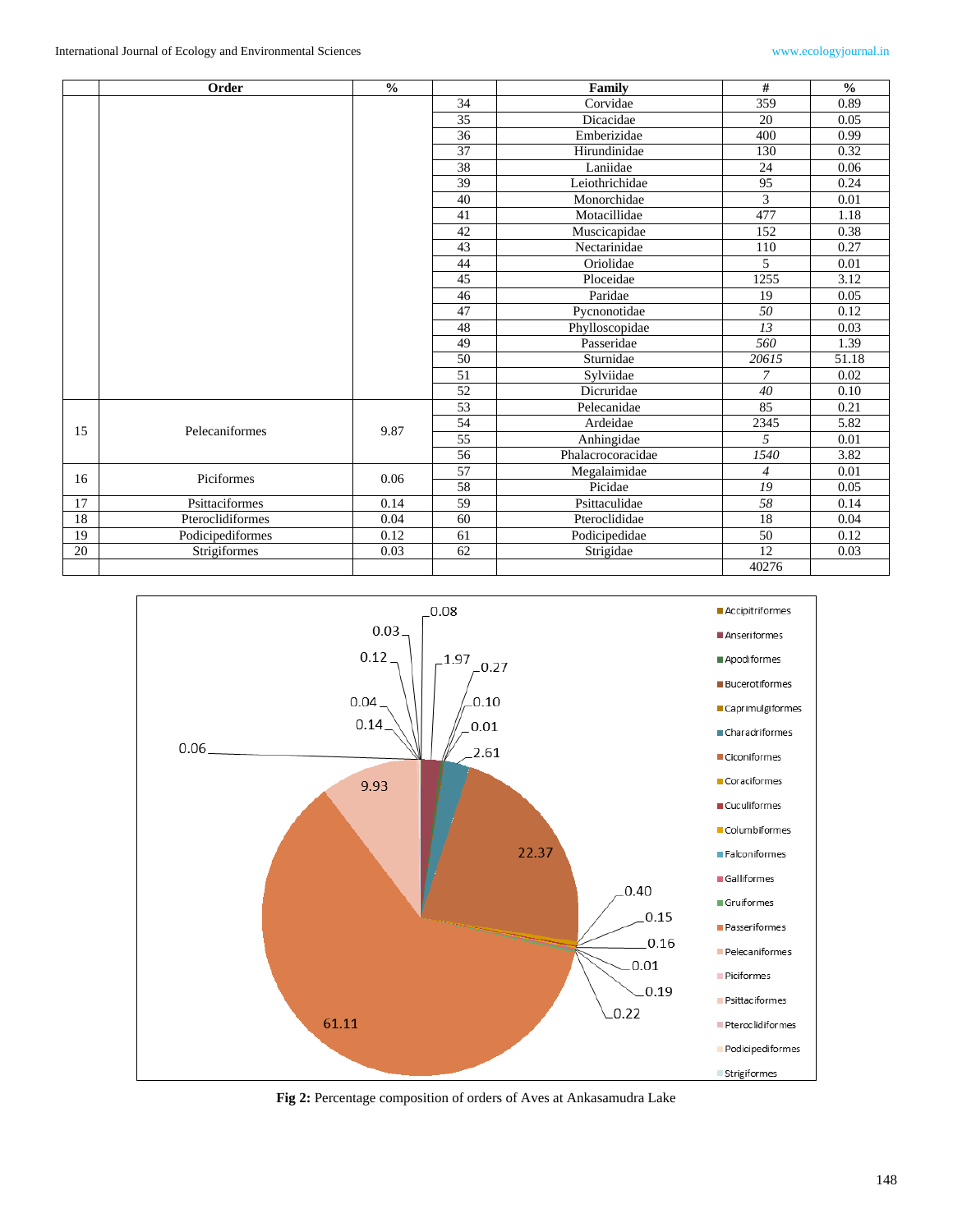|    | Order            | $\frac{0}{0}$ |    | Family            | #               | $\frac{0}{0}$ |
|----|------------------|---------------|----|-------------------|-----------------|---------------|
|    |                  |               | 34 | Corvidae          | 359             | 0.89          |
|    |                  |               | 35 | Dicacidae         | 20              | 0.05          |
|    |                  |               | 36 | Emberizidae       | 400             | 0.99          |
|    |                  |               | 37 | Hirundinidae      | 130             | 0.32          |
|    |                  |               | 38 | Laniidae          | 24              | 0.06          |
|    |                  |               | 39 | Leiothrichidae    | 95              | 0.24          |
|    |                  |               | 40 | Monorchidae       | 3               | 0.01          |
|    |                  |               | 41 | Motacillidae      | 477             | 1.18          |
|    |                  |               | 42 | Muscicapidae      | 152             | 0.38          |
|    |                  |               | 43 | Nectarinidae      | 110             | 0.27          |
|    |                  |               | 44 | Oriolidae         | 5               | 0.01          |
|    |                  |               | 45 | Ploceidae         | 1255            | 3.12          |
|    |                  |               | 46 | Paridae           | 19              | 0.05          |
|    |                  |               | 47 | Pycnonotidae      | 50              | 0.12          |
|    |                  |               | 48 | Phylloscopidae    | 13              | 0.03          |
|    |                  |               | 49 | Passeridae        | 560             | 1.39          |
|    |                  |               | 50 | Sturnidae         | 20615           | 51.18         |
|    |                  |               | 51 | Sylviidae         | $\overline{7}$  | 0.02          |
|    |                  |               | 52 | Dicruridae        | 40              | 0.10          |
|    |                  |               | 53 | Pelecanidae       | 85              | 0.21          |
| 15 | Pelecaniformes   | 9.87          | 54 | Ardeidae          | 2345            | 5.82          |
|    |                  |               | 55 | Anhingidae        | 5               | 0.01          |
|    |                  |               | 56 | Phalacrocoracidae | 1540            | 3.82          |
| 16 | Piciformes       | 0.06          | 57 | Megalaimidae      | $\overline{4}$  | 0.01          |
|    |                  |               | 58 | Picidae           | 19              | 0.05          |
| 17 | Psittaciformes   | 0.14          | 59 | Psittaculidae     | 58              | 0.14          |
| 18 | Pteroclidiformes | 0.04          | 60 | Pteroclididae     | $\overline{18}$ | 0.04          |
| 19 | Podicipediformes | 0.12          | 61 | Podicipedidae     | 50              | 0.12          |
| 20 | Strigiformes     | 0.03          | 62 | Strigidae         | 12              | 0.03          |
|    |                  |               |    |                   | 40276           |               |



**Fig 2:** Percentage composition of orders of Aves at Ankasamudra Lake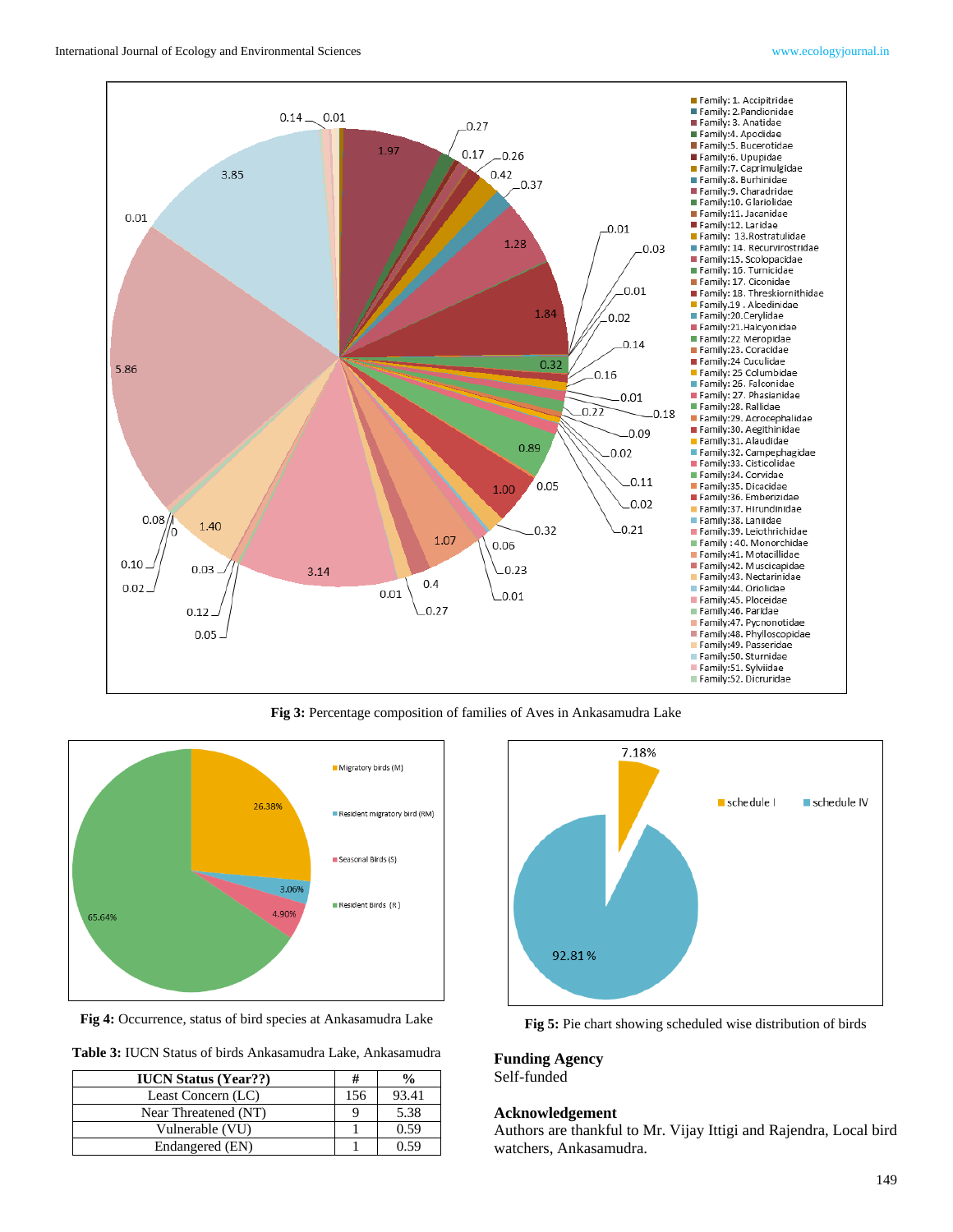

**Fig 3:** Percentage composition of families of Aves in Ankasamudra Lake



**Fig 4:** Occurrence, status of bird species at Ankasamudra Lake

| <b>Table 3:</b> IUCN Status of birds Ankasamudra Lake. Ankasamudra |
|--------------------------------------------------------------------|
|--------------------------------------------------------------------|

| <b>IUCN Status (Year??)</b> | #   | $\frac{0}{0}$ |
|-----------------------------|-----|---------------|
| Least Concern (LC)          | 156 | 93.41         |
| Near Threatened (NT)        |     | 5.38          |
| Vulnerable (VU)             |     | 0.59          |
| Endangered (EN)             |     |               |



**Fig 5:** Pie chart showing scheduled wise distribution of birds

#### **Funding Agency** Self-funded

# **Acknowledgement**

Authors are thankful to Mr. Vijay Ittigi and Rajendra, Local bird watchers, Ankasamudra.